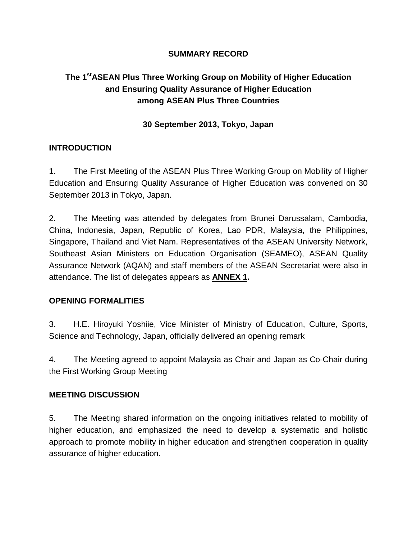## **SUMMARY RECORD**

# **The 1stASEAN Plus Three Working Group on Mobility of Higher Education and Ensuring Quality Assurance of Higher Education among ASEAN Plus Three Countries**

### **30 September 2013, Tokyo, Japan**

#### **INTRODUCTION**

1. The First Meeting of the ASEAN Plus Three Working Group on Mobility of Higher Education and Ensuring Quality Assurance of Higher Education was convened on 30 September 2013 in Tokyo, Japan.

2. The Meeting was attended by delegates from Brunei Darussalam, Cambodia, China, Indonesia, Japan, Republic of Korea, Lao PDR, Malaysia, the Philippines, Singapore, Thailand and Viet Nam. Representatives of the ASEAN University Network, Southeast Asian Ministers on Education Organisation (SEAMEO), ASEAN Quality Assurance Network (AQAN) and staff members of the ASEAN Secretariat were also in attendance. The list of delegates appears as **ANNEX 1.**

#### **OPENING FORMALITIES**

3. H.E. Hiroyuki Yoshiie, Vice Minister of Ministry of Education, Culture, Sports, Science and Technology, Japan, officially delivered an opening remark

4. The Meeting agreed to appoint Malaysia as Chair and Japan as Co-Chair during the First Working Group Meeting

#### **MEETING DISCUSSION**

5. The Meeting shared information on the ongoing initiatives related to mobility of higher education, and emphasized the need to develop a systematic and holistic approach to promote mobility in higher education and strengthen cooperation in quality assurance of higher education.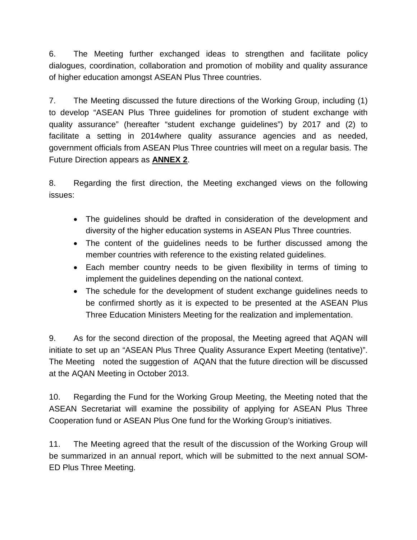6. The Meeting further exchanged ideas to strengthen and facilitate policy dialogues, coordination, collaboration and promotion of mobility and quality assurance of higher education amongst ASEAN Plus Three countries.

7. The Meeting discussed the future directions of the Working Group, including (1) to develop "ASEAN Plus Three guidelines for promotion of student exchange with quality assurance" (hereafter "student exchange guidelines") by 2017 and (2) to facilitate a setting in 2014where quality assurance agencies and as needed, government officials from ASEAN Plus Three countries will meet on a regular basis. The Future Direction appears as **ANNEX 2**.

8. Regarding the first direction, the Meeting exchanged views on the following issues:

- The guidelines should be drafted in consideration of the development and diversity of the higher education systems in ASEAN Plus Three countries.
- The content of the guidelines needs to be further discussed among the member countries with reference to the existing related guidelines.
- Each member country needs to be given flexibility in terms of timing to implement the guidelines depending on the national context.
- The schedule for the development of student exchange guidelines needs to be confirmed shortly as it is expected to be presented at the ASEAN Plus Three Education Ministers Meeting for the realization and implementation.

9. As for the second direction of the proposal, the Meeting agreed that AQAN will initiate to set up an "ASEAN Plus Three Quality Assurance Expert Meeting (tentative)". The Meeting noted the suggestion of AQAN that the future direction will be discussed at the AQAN Meeting in October 2013.

10. Regarding the Fund for the Working Group Meeting, the Meeting noted that the ASEAN Secretariat will examine the possibility of applying for ASEAN Plus Three Cooperation fund or ASEAN Plus One fund for the Working Group's initiatives.

11. The Meeting agreed that the result of the discussion of the Working Group will be summarized in an annual report, which will be submitted to the next annual SOM-ED Plus Three Meeting.